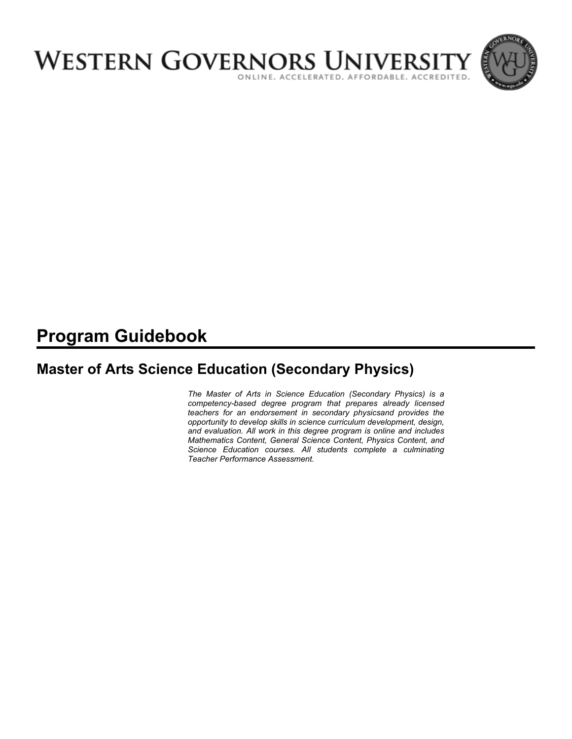

# **Program Guidebook**

# **Master of Arts Science Education (Secondary Physics)**

*The Master of Arts in Science Education (Secondary Physics) is a competency-based degree program that prepares already licensed teachers for an endorsement in secondary physicsand provides the opportunity to develop skills in science curriculum development, design, and evaluation. All work in this degree program is online and includes Mathematics Content, General Science Content, Physics Content, and Science Education courses. All students complete a culminating Teacher Performance Assessment.*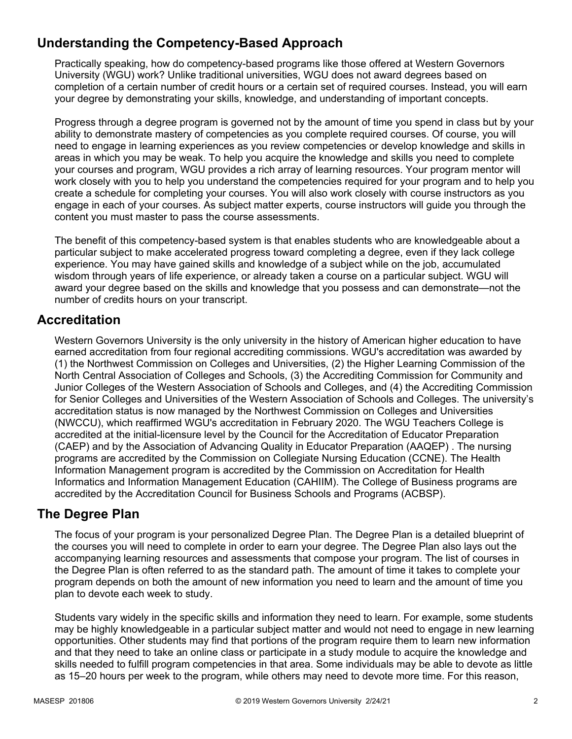# **Understanding the Competency-Based Approach**

Practically speaking, how do competency-based programs like those offered at Western Governors University (WGU) work? Unlike traditional universities, WGU does not award degrees based on completion of a certain number of credit hours or a certain set of required courses. Instead, you will earn your degree by demonstrating your skills, knowledge, and understanding of important concepts.

Progress through a degree program is governed not by the amount of time you spend in class but by your ability to demonstrate mastery of competencies as you complete required courses. Of course, you will need to engage in learning experiences as you review competencies or develop knowledge and skills in areas in which you may be weak. To help you acquire the knowledge and skills you need to complete your courses and program, WGU provides a rich array of learning resources. Your program mentor will work closely with you to help you understand the competencies required for your program and to help you create a schedule for completing your courses. You will also work closely with course instructors as you engage in each of your courses. As subject matter experts, course instructors will guide you through the content you must master to pass the course assessments.

The benefit of this competency-based system is that enables students who are knowledgeable about a particular subject to make accelerated progress toward completing a degree, even if they lack college experience. You may have gained skills and knowledge of a subject while on the job, accumulated wisdom through years of life experience, or already taken a course on a particular subject. WGU will award your degree based on the skills and knowledge that you possess and can demonstrate—not the number of credits hours on your transcript.

# **Accreditation**

Western Governors University is the only university in the history of American higher education to have earned accreditation from four regional accrediting commissions. WGU's accreditation was awarded by (1) the Northwest Commission on Colleges and Universities, (2) the Higher Learning Commission of the North Central Association of Colleges and Schools, (3) the Accrediting Commission for Community and Junior Colleges of the Western Association of Schools and Colleges, and (4) the Accrediting Commission for Senior Colleges and Universities of the Western Association of Schools and Colleges. The university's accreditation status is now managed by the Northwest Commission on Colleges and Universities (NWCCU), which reaffirmed WGU's accreditation in February 2020. The WGU Teachers College is accredited at the initial-licensure level by the Council for the Accreditation of Educator Preparation (CAEP) and by the Association of Advancing Quality in Educator Preparation (AAQEP) . The nursing programs are accredited by the Commission on Collegiate Nursing Education (CCNE). The Health Information Management program is accredited by the Commission on Accreditation for Health Informatics and Information Management Education (CAHIIM). The College of Business programs are accredited by the Accreditation Council for Business Schools and Programs (ACBSP).

# **The Degree Plan**

The focus of your program is your personalized Degree Plan. The Degree Plan is a detailed blueprint of the courses you will need to complete in order to earn your degree. The Degree Plan also lays out the accompanying learning resources and assessments that compose your program. The list of courses in the Degree Plan is often referred to as the standard path. The amount of time it takes to complete your program depends on both the amount of new information you need to learn and the amount of time you plan to devote each week to study.

Students vary widely in the specific skills and information they need to learn. For example, some students may be highly knowledgeable in a particular subject matter and would not need to engage in new learning opportunities. Other students may find that portions of the program require them to learn new information and that they need to take an online class or participate in a study module to acquire the knowledge and skills needed to fulfill program competencies in that area. Some individuals may be able to devote as little as 15–20 hours per week to the program, while others may need to devote more time. For this reason,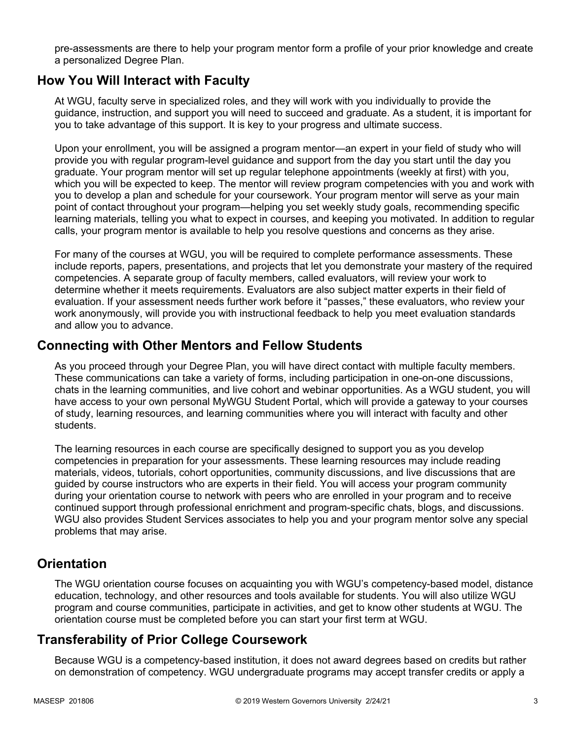pre-assessments are there to help your program mentor form a profile of your prior knowledge and create a personalized Degree Plan.

### **How You Will Interact with Faculty**

At WGU, faculty serve in specialized roles, and they will work with you individually to provide the guidance, instruction, and support you will need to succeed and graduate. As a student, it is important for you to take advantage of this support. It is key to your progress and ultimate success.

Upon your enrollment, you will be assigned a program mentor—an expert in your field of study who will provide you with regular program-level guidance and support from the day you start until the day you graduate. Your program mentor will set up regular telephone appointments (weekly at first) with you, which you will be expected to keep. The mentor will review program competencies with you and work with you to develop a plan and schedule for your coursework. Your program mentor will serve as your main point of contact throughout your program—helping you set weekly study goals, recommending specific learning materials, telling you what to expect in courses, and keeping you motivated. In addition to regular calls, your program mentor is available to help you resolve questions and concerns as they arise.

For many of the courses at WGU, you will be required to complete performance assessments. These include reports, papers, presentations, and projects that let you demonstrate your mastery of the required competencies. A separate group of faculty members, called evaluators, will review your work to determine whether it meets requirements. Evaluators are also subject matter experts in their field of evaluation. If your assessment needs further work before it "passes," these evaluators, who review your work anonymously, will provide you with instructional feedback to help you meet evaluation standards and allow you to advance.

### **Connecting with Other Mentors and Fellow Students**

As you proceed through your Degree Plan, you will have direct contact with multiple faculty members. These communications can take a variety of forms, including participation in one-on-one discussions, chats in the learning communities, and live cohort and webinar opportunities. As a WGU student, you will have access to your own personal MyWGU Student Portal, which will provide a gateway to your courses of study, learning resources, and learning communities where you will interact with faculty and other students.

The learning resources in each course are specifically designed to support you as you develop competencies in preparation for your assessments. These learning resources may include reading materials, videos, tutorials, cohort opportunities, community discussions, and live discussions that are guided by course instructors who are experts in their field. You will access your program community during your orientation course to network with peers who are enrolled in your program and to receive continued support through professional enrichment and program-specific chats, blogs, and discussions. WGU also provides Student Services associates to help you and your program mentor solve any special problems that may arise.

# **Orientation**

The WGU orientation course focuses on acquainting you with WGU's competency-based model, distance education, technology, and other resources and tools available for students. You will also utilize WGU program and course communities, participate in activities, and get to know other students at WGU. The orientation course must be completed before you can start your first term at WGU.

# **Transferability of Prior College Coursework**

Because WGU is a competency-based institution, it does not award degrees based on credits but rather on demonstration of competency. WGU undergraduate programs may accept transfer credits or apply a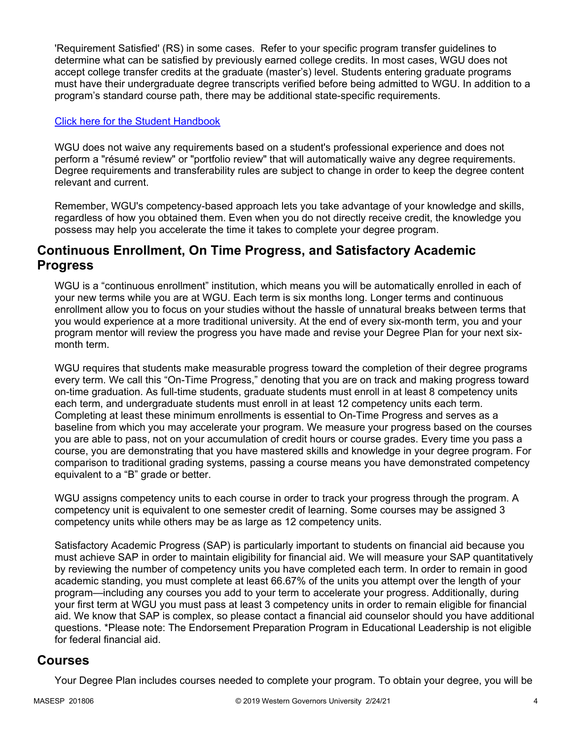'Requirement Satisfied' (RS) in some cases. Refer to your specific program transfer guidelines to determine what can be satisfied by previously earned college credits. In most cases, WGU does not accept college transfer credits at the graduate (master's) level. Students entering graduate programs must have their undergraduate degree transcripts verified before being admitted to WGU. In addition to a program's standard course path, there may be additional state-specific requirements.

#### [Click here for the Student Handbook](http://cm.wgu.edu/)

WGU does not waive any requirements based on a student's professional experience and does not perform a "résumé review" or "portfolio review" that will automatically waive any degree requirements. Degree requirements and transferability rules are subject to change in order to keep the degree content relevant and current.

Remember, WGU's competency-based approach lets you take advantage of your knowledge and skills, regardless of how you obtained them. Even when you do not directly receive credit, the knowledge you possess may help you accelerate the time it takes to complete your degree program.

### **Continuous Enrollment, On Time Progress, and Satisfactory Academic Progress**

WGU is a "continuous enrollment" institution, which means you will be automatically enrolled in each of your new terms while you are at WGU. Each term is six months long. Longer terms and continuous enrollment allow you to focus on your studies without the hassle of unnatural breaks between terms that you would experience at a more traditional university. At the end of every six-month term, you and your program mentor will review the progress you have made and revise your Degree Plan for your next sixmonth term.

WGU requires that students make measurable progress toward the completion of their degree programs every term. We call this "On-Time Progress," denoting that you are on track and making progress toward on-time graduation. As full-time students, graduate students must enroll in at least 8 competency units each term, and undergraduate students must enroll in at least 12 competency units each term. Completing at least these minimum enrollments is essential to On-Time Progress and serves as a baseline from which you may accelerate your program. We measure your progress based on the courses you are able to pass, not on your accumulation of credit hours or course grades. Every time you pass a course, you are demonstrating that you have mastered skills and knowledge in your degree program. For comparison to traditional grading systems, passing a course means you have demonstrated competency equivalent to a "B" grade or better.

WGU assigns competency units to each course in order to track your progress through the program. A competency unit is equivalent to one semester credit of learning. Some courses may be assigned 3 competency units while others may be as large as 12 competency units.

Satisfactory Academic Progress (SAP) is particularly important to students on financial aid because you must achieve SAP in order to maintain eligibility for financial aid. We will measure your SAP quantitatively by reviewing the number of competency units you have completed each term. In order to remain in good academic standing, you must complete at least 66.67% of the units you attempt over the length of your program—including any courses you add to your term to accelerate your progress. Additionally, during your first term at WGU you must pass at least 3 competency units in order to remain eligible for financial aid. We know that SAP is complex, so please contact a financial aid counselor should you have additional questions. \*Please note: The Endorsement Preparation Program in Educational Leadership is not eligible for federal financial aid.

### **Courses**

Your Degree Plan includes courses needed to complete your program. To obtain your degree, you will be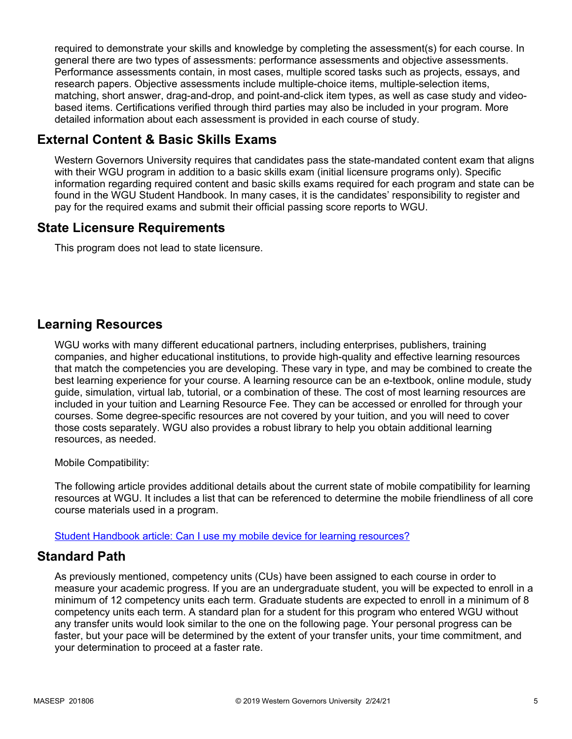required to demonstrate your skills and knowledge by completing the assessment(s) for each course. In general there are two types of assessments: performance assessments and objective assessments. Performance assessments contain, in most cases, multiple scored tasks such as projects, essays, and research papers. Objective assessments include multiple-choice items, multiple-selection items, matching, short answer, drag-and-drop, and point-and-click item types, as well as case study and videobased items. Certifications verified through third parties may also be included in your program. More detailed information about each assessment is provided in each course of study.

# **External Content & Basic Skills Exams**

Western Governors University requires that candidates pass the state-mandated content exam that aligns with their WGU program in addition to a basic skills exam (initial licensure programs only). Specific information regarding required content and basic skills exams required for each program and state can be found in the WGU Student Handbook. In many cases, it is the candidates' responsibility to register and pay for the required exams and submit their official passing score reports to WGU.

# **State Licensure Requirements**

This program does not lead to state licensure.

# **Learning Resources**

WGU works with many different educational partners, including enterprises, publishers, training companies, and higher educational institutions, to provide high-quality and effective learning resources that match the competencies you are developing. These vary in type, and may be combined to create the best learning experience for your course. A learning resource can be an e-textbook, online module, study guide, simulation, virtual lab, tutorial, or a combination of these. The cost of most learning resources are included in your tuition and Learning Resource Fee. They can be accessed or enrolled for through your courses. Some degree-specific resources are not covered by your tuition, and you will need to cover those costs separately. WGU also provides a robust library to help you obtain additional learning resources, as needed.

Mobile Compatibility:

The following article provides additional details about the current state of mobile compatibility for learning resources at WGU. It includes a list that can be referenced to determine the mobile friendliness of all core course materials used in a program.

[Student Handbook article: Can I use my mobile device for learning resources?](https://cm.wgu.edu/t5/Frequently-Asked-Questions/Can-I-use-my-mobile-device-for-learning-resources/ta-p/396)

# **Standard Path**

As previously mentioned, competency units (CUs) have been assigned to each course in order to measure your academic progress. If you are an undergraduate student, you will be expected to enroll in a minimum of 12 competency units each term. Graduate students are expected to enroll in a minimum of 8 competency units each term. A standard plan for a student for this program who entered WGU without any transfer units would look similar to the one on the following page. Your personal progress can be faster, but your pace will be determined by the extent of your transfer units, your time commitment, and your determination to proceed at a faster rate.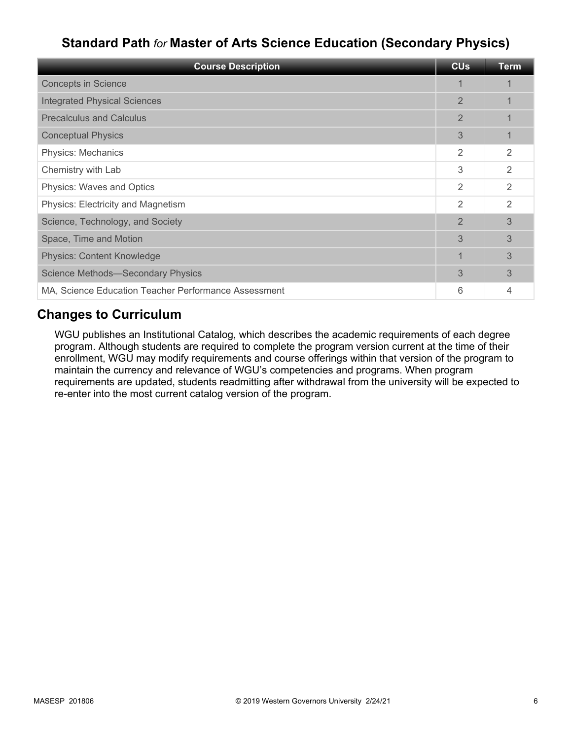# **Standard Path** *for* **Master of Arts Science Education (Secondary Physics)**

| <b>Course Description</b>                            | <b>CU<sub>s</sub></b> | <b>Term</b> |
|------------------------------------------------------|-----------------------|-------------|
| <b>Concepts in Science</b>                           | 1                     |             |
| <b>Integrated Physical Sciences</b>                  | $\overline{2}$        |             |
| <b>Precalculus and Calculus</b>                      | $\overline{2}$        |             |
| <b>Conceptual Physics</b>                            | 3                     |             |
| Physics: Mechanics                                   | 2                     | 2           |
| Chemistry with Lab                                   | 3                     | 2           |
| Physics: Waves and Optics                            | 2                     | 2           |
| Physics: Electricity and Magnetism                   | 2                     | 2           |
| Science, Technology, and Society                     | $\overline{2}$        | 3           |
| Space, Time and Motion                               | 3                     | 3           |
| <b>Physics: Content Knowledge</b>                    | 1                     | 3           |
| Science Methods-Secondary Physics                    | 3                     | 3           |
| MA, Science Education Teacher Performance Assessment | 6                     | 4           |

# **Changes to Curriculum**

WGU publishes an Institutional Catalog, which describes the academic requirements of each degree program. Although students are required to complete the program version current at the time of their enrollment, WGU may modify requirements and course offerings within that version of the program to maintain the currency and relevance of WGU's competencies and programs. When program requirements are updated, students readmitting after withdrawal from the university will be expected to re-enter into the most current catalog version of the program.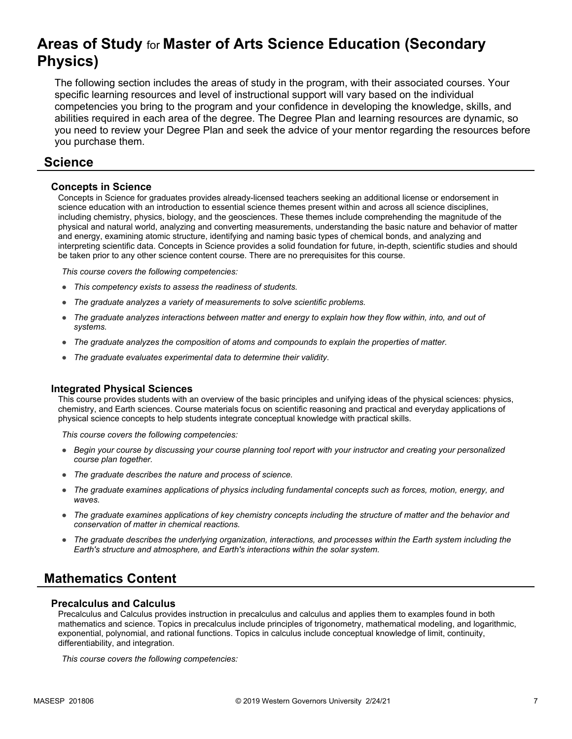# **Areas of Study** for **Master of Arts Science Education (Secondary Physics)**

The following section includes the areas of study in the program, with their associated courses. Your specific learning resources and level of instructional support will vary based on the individual competencies you bring to the program and your confidence in developing the knowledge, skills, and abilities required in each area of the degree. The Degree Plan and learning resources are dynamic, so you need to review your Degree Plan and seek the advice of your mentor regarding the resources before you purchase them.

### **Science**

#### **Concepts in Science**

Concepts in Science for graduates provides already-licensed teachers seeking an additional license or endorsement in science education with an introduction to essential science themes present within and across all science disciplines, including chemistry, physics, biology, and the geosciences. These themes include comprehending the magnitude of the physical and natural world, analyzing and converting measurements, understanding the basic nature and behavior of matter and energy, examining atomic structure, identifying and naming basic types of chemical bonds, and analyzing and interpreting scientific data. Concepts in Science provides a solid foundation for future, in-depth, scientific studies and should be taken prior to any other science content course. There are no prerequisites for this course.

*This course covers the following competencies:*

- *This competency exists to assess the readiness of students.*
- *The graduate analyzes a variety of measurements to solve scientific problems.*
- *The graduate analyzes interactions between matter and energy to explain how they flow within, into, and out of systems.*
- *The graduate analyzes the composition of atoms and compounds to explain the properties of matter.*
- *The graduate evaluates experimental data to determine their validity.*

#### **Integrated Physical Sciences**

This course provides students with an overview of the basic principles and unifying ideas of the physical sciences: physics, chemistry, and Earth sciences. Course materials focus on scientific reasoning and practical and everyday applications of physical science concepts to help students integrate conceptual knowledge with practical skills.

*This course covers the following competencies:*

- *Begin your course by discussing your course planning tool report with your instructor and creating your personalized course plan together.*
- *The graduate describes the nature and process of science.*
- *The graduate examines applications of physics including fundamental concepts such as forces, motion, energy, and waves.*
- *The graduate examines applications of key chemistry concepts including the structure of matter and the behavior and conservation of matter in chemical reactions.*
- *The graduate describes the underlying organization, interactions, and processes within the Earth system including the Earth's structure and atmosphere, and Earth's interactions within the solar system.*

# **Mathematics Content**

#### **Precalculus and Calculus**

Precalculus and Calculus provides instruction in precalculus and calculus and applies them to examples found in both mathematics and science. Topics in precalculus include principles of trigonometry, mathematical modeling, and logarithmic, exponential, polynomial, and rational functions. Topics in calculus include conceptual knowledge of limit, continuity, differentiability, and integration.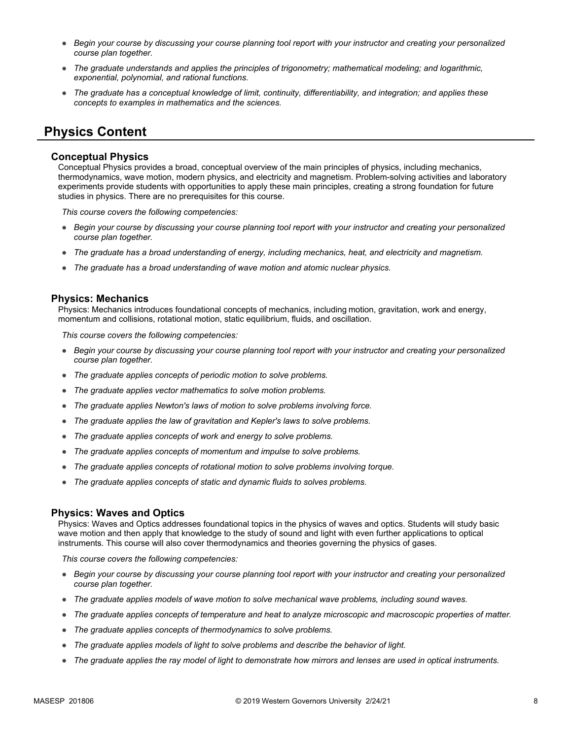- *Begin your course by discussing your course planning tool report with your instructor and creating your personalized course plan together.*
- *The graduate understands and applies the principles of trigonometry; mathematical modeling; and logarithmic, exponential, polynomial, and rational functions.*
- *The graduate has a conceptual knowledge of limit, continuity, differentiability, and integration; and applies these concepts to examples in mathematics and the sciences.*

# **Physics Content**

#### **Conceptual Physics**

Conceptual Physics provides a broad, conceptual overview of the main principles of physics, including mechanics, thermodynamics, wave motion, modern physics, and electricity and magnetism. Problem-solving activities and laboratory experiments provide students with opportunities to apply these main principles, creating a strong foundation for future studies in physics. There are no prerequisites for this course.

*This course covers the following competencies:*

- *Begin your course by discussing your course planning tool report with your instructor and creating your personalized course plan together.*
- *The graduate has a broad understanding of energy, including mechanics, heat, and electricity and magnetism.*
- *The graduate has a broad understanding of wave motion and atomic nuclear physics.*

#### **Physics: Mechanics**

Physics: Mechanics introduces foundational concepts of mechanics, including motion, gravitation, work and energy, momentum and collisions, rotational motion, static equilibrium, fluids, and oscillation.

*This course covers the following competencies:*

- *Begin your course by discussing your course planning tool report with your instructor and creating your personalized course plan together.*
- *The graduate applies concepts of periodic motion to solve problems.*
- *The graduate applies vector mathematics to solve motion problems.*
- *The graduate applies Newton's laws of motion to solve problems involving force.*
- *The graduate applies the law of gravitation and Kepler's laws to solve problems.*
- *The graduate applies concepts of work and energy to solve problems.*
- *The graduate applies concepts of momentum and impulse to solve problems.*
- *The graduate applies concepts of rotational motion to solve problems involving torque.*
- *The graduate applies concepts of static and dynamic fluids to solves problems.*

#### **Physics: Waves and Optics**

Physics: Waves and Optics addresses foundational topics in the physics of waves and optics. Students will study basic wave motion and then apply that knowledge to the study of sound and light with even further applications to optical instruments. This course will also cover thermodynamics and theories governing the physics of gases.

- *Begin your course by discussing your course planning tool report with your instructor and creating your personalized course plan together.*
- *The graduate applies models of wave motion to solve mechanical wave problems, including sound waves.*
- *The graduate applies concepts of temperature and heat to analyze microscopic and macroscopic properties of matter.*
- *The graduate applies concepts of thermodynamics to solve problems.*
- *The graduate applies models of light to solve problems and describe the behavior of light.*
- *The graduate applies the ray model of light to demonstrate how mirrors and lenses are used in optical instruments.*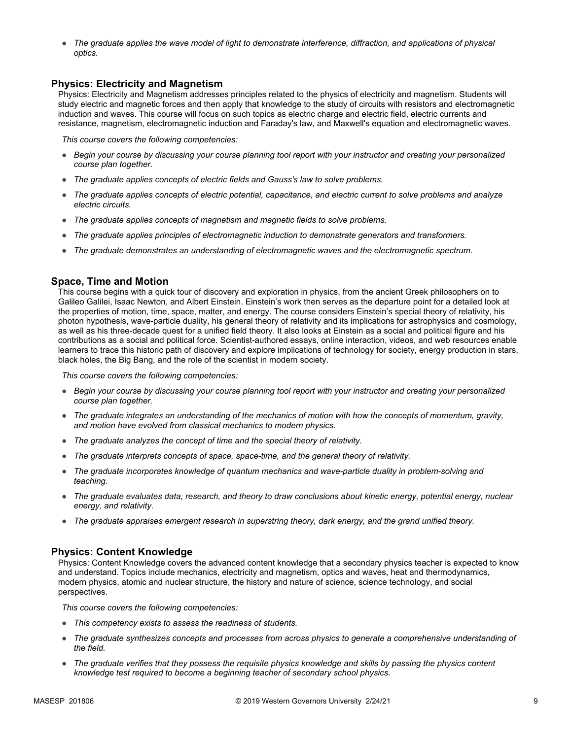● The graduate applies the wave model of light to demonstrate interference, diffraction, and applications of physical *optics.*

#### **Physics: Electricity and Magnetism**

Physics: Electricity and Magnetism addresses principles related to the physics of electricity and magnetism. Students will study electric and magnetic forces and then apply that knowledge to the study of circuits with resistors and electromagnetic induction and waves. This course will focus on such topics as electric charge and electric field, electric currents and resistance, magnetism, electromagnetic induction and Faraday's law, and Maxwell's equation and electromagnetic waves.

*This course covers the following competencies:*

- *Begin your course by discussing your course planning tool report with your instructor and creating your personalized course plan together.*
- *The graduate applies concepts of electric fields and Gauss's law to solve problems.*
- *The graduate applies concepts of electric potential, capacitance, and electric current to solve problems and analyze electric circuits.*
- *The graduate applies concepts of magnetism and magnetic fields to solve problems.*
- *The graduate applies principles of electromagnetic induction to demonstrate generators and transformers.*
- *The graduate demonstrates an understanding of electromagnetic waves and the electromagnetic spectrum.*

#### **Space, Time and Motion**

This course begins with a quick tour of discovery and exploration in physics, from the ancient Greek philosophers on to Galileo Galilei, Isaac Newton, and Albert Einstein. Einstein's work then serves as the departure point for a detailed look at the properties of motion, time, space, matter, and energy. The course considers Einstein's special theory of relativity, his photon hypothesis, wave-particle duality, his general theory of relativity and its implications for astrophysics and cosmology, as well as his three-decade quest for a unified field theory. It also looks at Einstein as a social and political figure and his contributions as a social and political force. Scientist-authored essays, online interaction, videos, and web resources enable learners to trace this historic path of discovery and explore implications of technology for society, energy production in stars, black holes, the Big Bang, and the role of the scientist in modern society.

*This course covers the following competencies:*

- *Begin your course by discussing your course planning tool report with your instructor and creating your personalized course plan together.*
- *The graduate integrates an understanding of the mechanics of motion with how the concepts of momentum, gravity, and motion have evolved from classical mechanics to modern physics.*
- *The graduate analyzes the concept of time and the special theory of relativity.*
- *The graduate interprets concepts of space, space-time, and the general theory of relativity.*
- *The graduate incorporates knowledge of quantum mechanics and wave-particle duality in problem-solving and teaching.*
- *The graduate evaluates data, research, and theory to draw conclusions about kinetic energy, potential energy, nuclear energy, and relativity.*
- *The graduate appraises emergent research in superstring theory, dark energy, and the grand unified theory.*

#### **Physics: Content Knowledge**

Physics: Content Knowledge covers the advanced content knowledge that a secondary physics teacher is expected to know and understand. Topics include mechanics, electricity and magnetism, optics and waves, heat and thermodynamics, modern physics, atomic and nuclear structure, the history and nature of science, science technology, and social perspectives.

- *This competency exists to assess the readiness of students.*
- *The graduate synthesizes concepts and processes from across physics to generate a comprehensive understanding of the field.*
- *The graduate verifies that they possess the requisite physics knowledge and skills by passing the physics content knowledge test required to become a beginning teacher of secondary school physics.*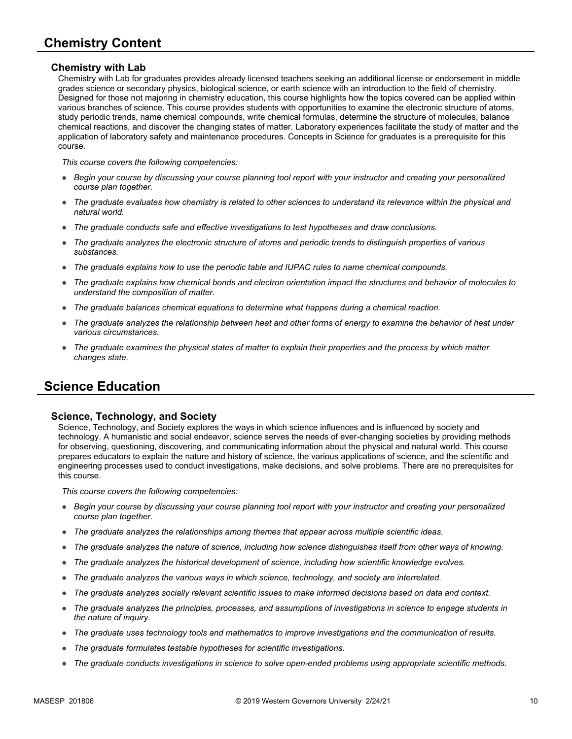#### **Chemistry with Lab**

Chemistry with Lab for graduates provides already licensed teachers seeking an additional license or endorsement in middle grades science or secondary physics, biological science, or earth science with an introduction to the field of chemistry. Designed for those not majoring in chemistry education, this course highlights how the topics covered can be applied within various branches of science. This course provides students with opportunities to examine the electronic structure of atoms, study periodic trends, name chemical compounds, write chemical formulas, determine the structure of molecules, balance chemical reactions, and discover the changing states of matter. Laboratory experiences facilitate the study of matter and the application of laboratory safety and maintenance procedures. Concepts in Science for graduates is a prerequisite for this course.

*This course covers the following competencies:*

- *Begin your course by discussing your course planning tool report with your instructor and creating your personalized course plan together.*
- *The graduate evaluates how chemistry is related to other sciences to understand its relevance within the physical and natural world.*
- *The graduate conducts safe and effective investigations to test hypotheses and draw conclusions.*
- *The graduate analyzes the electronic structure of atoms and periodic trends to distinguish properties of various substances.*
- *The graduate explains how to use the periodic table and IUPAC rules to name chemical compounds.*
- *The graduate explains how chemical bonds and electron orientation impact the structures and behavior of molecules to understand the composition of matter.*
- *The graduate balances chemical equations to determine what happens during a chemical reaction.*
- The graduate analyzes the relationship between heat and other forms of energy to examine the behavior of heat under *various circumstances.*
- *The graduate examines the physical states of matter to explain their properties and the process by which matter changes state.*

# **Science Education**

#### **Science, Technology, and Society**

Science, Technology, and Society explores the ways in which science influences and is influenced by society and technology. A humanistic and social endeavor, science serves the needs of ever-changing societies by providing methods for observing, questioning, discovering, and communicating information about the physical and natural world. This course prepares educators to explain the nature and history of science, the various applications of science, and the scientific and engineering processes used to conduct investigations, make decisions, and solve problems. There are no prerequisites for this course.

- *Begin your course by discussing your course planning tool report with your instructor and creating your personalized course plan together.*
- *The graduate analyzes the relationships among themes that appear across multiple scientific ideas.*
- *The graduate analyzes the nature of science, including how science distinguishes itself from other ways of knowing.*
- *The graduate analyzes the historical development of science, including how scientific knowledge evolves.*
- *The graduate analyzes the various ways in which science, technology, and society are interrelated.*
- *The graduate analyzes socially relevant scientific issues to make informed decisions based on data and context.*
- *The graduate analyzes the principles, processes, and assumptions of investigations in science to engage students in the nature of inquiry.*
- *The graduate uses technology tools and mathematics to improve investigations and the communication of results.*
- *The graduate formulates testable hypotheses for scientific investigations.*
- *The graduate conducts investigations in science to solve open-ended problems using appropriate scientific methods.*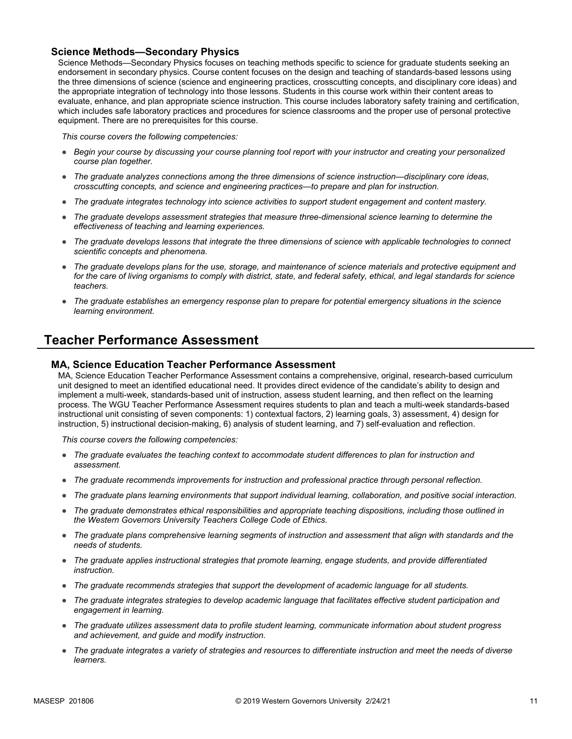#### **Science Methods—Secondary Physics**

Science Methods—Secondary Physics focuses on teaching methods specific to science for graduate students seeking an endorsement in secondary physics. Course content focuses on the design and teaching of standards-based lessons using the three dimensions of science (science and engineering practices, crosscutting concepts, and disciplinary core ideas) and the appropriate integration of technology into those lessons. Students in this course work within their content areas to evaluate, enhance, and plan appropriate science instruction. This course includes laboratory safety training and certification, which includes safe laboratory practices and procedures for science classrooms and the proper use of personal protective equipment. There are no prerequisites for this course.

*This course covers the following competencies:*

- *Begin your course by discussing your course planning tool report with your instructor and creating your personalized course plan together.*
- *The graduate analyzes connections among the three dimensions of science instruction—disciplinary core ideas, crosscutting concepts, and science and engineering practices—to prepare and plan for instruction.*
- *The graduate integrates technology into science activities to support student engagement and content mastery.*
- *The graduate develops assessment strategies that measure three-dimensional science learning to determine the effectiveness of teaching and learning experiences.*
- *The graduate develops lessons that integrate the three dimensions of science with applicable technologies to connect scientific concepts and phenomena.*
- *The graduate develops plans for the use, storage, and maintenance of science materials and protective equipment and for the care of living organisms to comply with district, state, and federal safety, ethical, and legal standards for science teachers.*
- *The graduate establishes an emergency response plan to prepare for potential emergency situations in the science learning environment.*

# **Teacher Performance Assessment**

#### **MA, Science Education Teacher Performance Assessment**

MA, Science Education Teacher Performance Assessment contains a comprehensive, original, research-based curriculum unit designed to meet an identified educational need. It provides direct evidence of the candidate's ability to design and implement a multi-week, standards-based unit of instruction, assess student learning, and then reflect on the learning process. The WGU Teacher Performance Assessment requires students to plan and teach a multi-week standards-based instructional unit consisting of seven components: 1) contextual factors, 2) learning goals, 3) assessment, 4) design for instruction, 5) instructional decision-making, 6) analysis of student learning, and 7) self-evaluation and reflection.

- *The graduate evaluates the teaching context to accommodate student differences to plan for instruction and assessment.*
- *The graduate recommends improvements for instruction and professional practice through personal reflection.*
- *The graduate plans learning environments that support individual learning, collaboration, and positive social interaction.*
- *The graduate demonstrates ethical responsibilities and appropriate teaching dispositions, including those outlined in the Western Governors University Teachers College Code of Ethics.*
- *The graduate plans comprehensive learning segments of instruction and assessment that align with standards and the needs of students.*
- *The graduate applies instructional strategies that promote learning, engage students, and provide differentiated instruction.*
- *The graduate recommends strategies that support the development of academic language for all students.*
- *The graduate integrates strategies to develop academic language that facilitates effective student participation and engagement in learning.*
- *The graduate utilizes assessment data to profile student learning, communicate information about student progress and achievement, and guide and modify instruction.*
- The graduate integrates a variety of strategies and resources to differentiate instruction and meet the needs of diverse *learners.*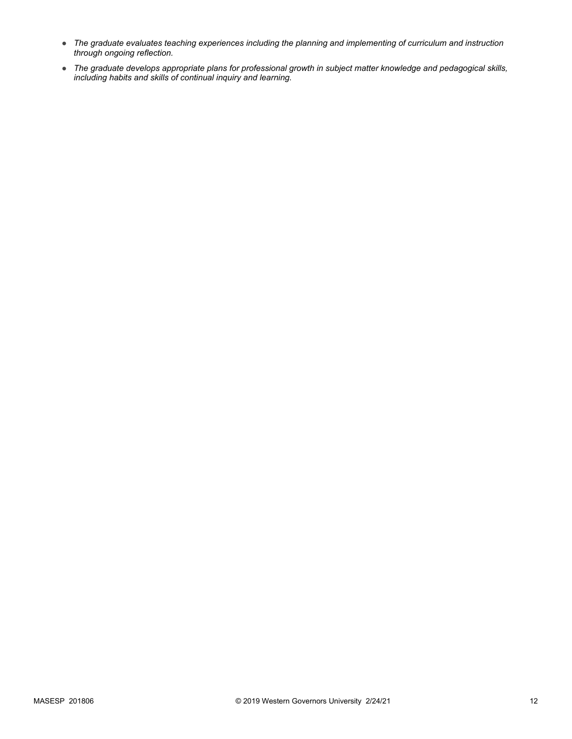- *The graduate evaluates teaching experiences including the planning and implementing of curriculum and instruction through ongoing reflection.*
- *The graduate develops appropriate plans for professional growth in subject matter knowledge and pedagogical skills, including habits and skills of continual inquiry and learning.*